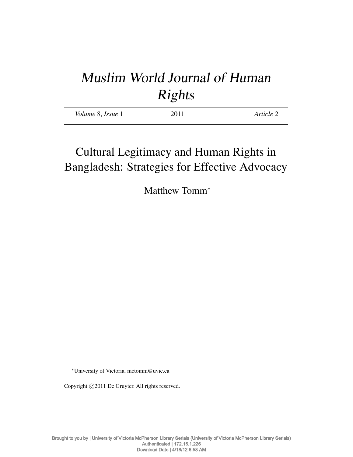# Muslim World Journal of Human Rights

| Volume 8, Issue 1 | 2011 | Article 2 |
|-------------------|------|-----------|
|                   |      |           |

# Cultural Legitimacy and Human Rights in Bangladesh: Strategies for Effective Advocacy

Matthew Tomm<sup>\*</sup>

<sup>∗</sup>University of Victoria, mctomm@uvic.ca

Copyright  $\odot$ 2011 De Gruyter. All rights reserved.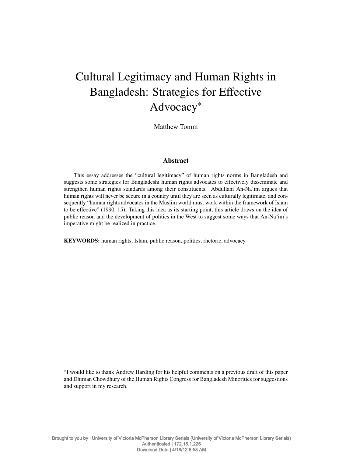# Cultural Legitimacy and Human Rights in Bangladesh: Strategies for Effective Advocacy<sup>∗</sup>

Matthew Tomm

#### Abstract

This essay addresses the "cultural legitimacy" of human rights norms in Bangladesh and suggests some strategies for Bangladeshi human rights advocates to effectively disseminate and strengthen human rights standards among their constituents. Abdullahi An-Na'im argues that human rights will never be secure in a country until they are seen as culturally legitimate, and consequently "human rights advocates in the Muslim world must work within the framework of Islam to be effective" (1990, 15). Taking this idea as its starting point, this article draws on the idea of public reason and the development of politics in the West to suggest some ways that An-Na'im's imperative might be realized in practice.

KEYWORDS: human rights, Islam, public reason, politics, rhetoric, advocacy

<sup>∗</sup> I would like to thank Andrew Harding for his helpful comments on a previous draft of this paper and Dhiman Chowdhury of the Human Rights Congress for Bangladesh Minorities for suggestions and support in my research.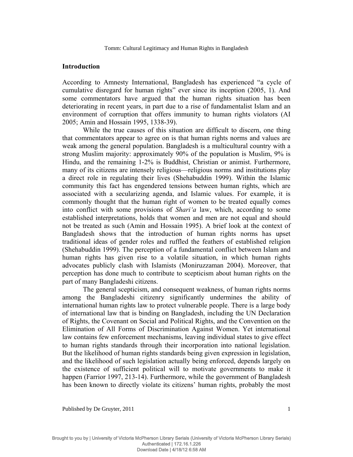# **Introduction**

According to Amnesty International, Bangladesh has experienced "a cycle of cumulative disregard for human rights" ever since its inception (2005, 1). And some commentators have argued that the human rights situation has been deteriorating in recent years, in part due to a rise of fundamentalist Islam and an environment of corruption that offers immunity to human rights violators (AI 2005; Amin and Hossain 1995, 1338-39).

While the true causes of this situation are difficult to discern, one thing that commentators appear to agree on is that human rights norms and values are weak among the general population. Bangladesh is a multicultural country with a strong Muslim majority: approximately 90% of the population is Muslim, 9% is Hindu, and the remaining 1-2% is Buddhist, Christian or animist. Furthermore, many of its citizens are intensely religious—religious norms and institutions play a direct role in regulating their lives (Shehabuddin 1999). Within the Islamic community this fact has engendered tensions between human rights, which are associated with a secularizing agenda, and Islamic values. For example, it is commonly thought that the human right of women to be treated equally comes into conflict with some provisions of *Shari'a* law, which, according to some established interpretations, holds that women and men are not equal and should not be treated as such (Amin and Hossain 1995). A brief look at the context of Bangladesh shows that the introduction of human rights norms has upset traditional ideas of gender roles and ruffled the feathers of established religion (Shehabuddin 1999). The perception of a fundamental conflict between Islam and human rights has given rise to a volatile situation, in which human rights advocates publicly clash with Islamists (Moniruzzaman 2004). Moreover, that perception has done much to contribute to scepticism about human rights on the part of many Bangladeshi citizens.

The general scepticism, and consequent weakness, of human rights norms among the Bangladeshi citizenry significantly undermines the ability of international human rights law to protect vulnerable people. There is a large body of international law that is binding on Bangladesh, including the UN Declaration of Rights, the Covenant on Social and Political Rights, and the Convention on the Elimination of All Forms of Discrimination Against Women. Yet international law contains few enforcement mechanisms, leaving individual states to give effect to human rights standards through their incorporation into national legislation. But the likelihood of human rights standards being given expression in legislation, and the likelihood of such legislation actually being enforced, depends largely on the existence of sufficient political will to motivate governments to make it happen (Farrior 1997, 213-14). Furthermore, while the government of Bangladesh has been known to directly violate its citizens' human rights, probably the most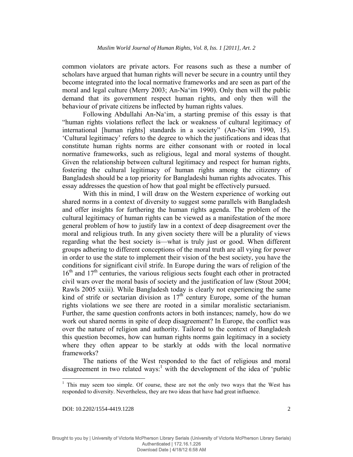common violators are private actors. For reasons such as these a number of scholars have argued that human rights will never be secure in a country until they become integrated into the local normative frameworks and are seen as part of the moral and legal culture (Merry 2003; An-Na'im 1990). Only then will the public demand that its government respect human rights, and only then will the behaviour of private citizens be inflected by human rights values.

Following Abdullahi An-Na'im, a starting premise of this essay is that "human rights violations reflect the lack or weakness of cultural legitimacy of international [human rights] standards in a society" (An-Na'im 1990, 15). 'Cultural legitimacy' refers to the degree to which the justifications and ideas that constitute human rights norms are either consonant with or rooted in local normative frameworks, such as religious, legal and moral systems of thought. Given the relationship between cultural legitimacy and respect for human rights, fostering the cultural legitimacy of human rights among the citizenry of Bangladesh should be a top priority for Bangladeshi human rights advocates. This essay addresses the question of how that goal might be effectively pursued.

With this in mind, I will draw on the Western experience of working out shared norms in a context of diversity to suggest some parallels with Bangladesh and offer insights for furthering the human rights agenda. The problem of the cultural legitimacy of human rights can be viewed as a manifestation of the more general problem of how to justify law in a context of deep disagreement over the moral and religious truth. In any given society there will be a plurality of views regarding what the best society is—what is truly just or good. When different groups adhering to different conceptions of the moral truth are all vying for power in order to use the state to implement their vision of the best society, you have the conditions for significant civil strife. In Europe during the wars of religion of the  $16<sup>th</sup>$  and  $17<sup>th</sup>$  centuries, the various religious sects fought each other in protracted civil wars over the moral basis of society and the justification of law (Stout 2004; Rawls 2005 xxiii). While Bangladesh today is clearly not experiencing the same kind of strife or sectarian division as  $17<sup>th</sup>$  century Europe, some of the human rights violations we see there are rooted in a similar moralistic sectarianism. Further, the same question confronts actors in both instances; namely, how do we work out shared norms in spite of deep disagreement? In Europe, the conflict was over the nature of religion and authority. Tailored to the context of Bangladesh this question becomes, how can human rights norms gain legitimacy in a society where they often appear to be starkly at odds with the local normative frameworks?

The nations of the West responded to the fact of religious and moral disagreement in two related ways:<sup>1</sup> with the development of the idea of 'public

 $\overline{a}$ 

<sup>&</sup>lt;sup>1</sup> This may seem too simple. Of course, these are not the only two ways that the West has responded to diversity. Nevertheless, they are two ideas that have had great influence.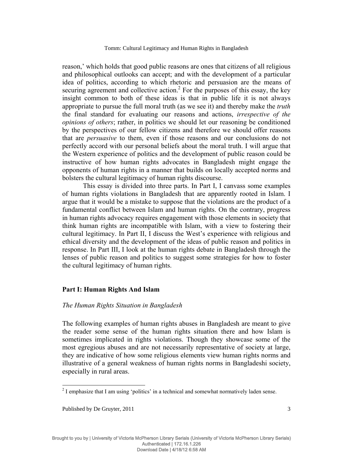Tomm: Cultural Legitimacy and Human Rights in Bangladesh

reason,' which holds that good public reasons are ones that citizens of all religious and philosophical outlooks can accept; and with the development of a particular idea of politics, according to which rhetoric and persuasion are the means of securing agreement and collective action.<sup>2</sup> For the purposes of this essay, the key insight common to both of these ideas is that in public life it is not always appropriate to pursue the full moral truth (as we see it) and thereby make the *truth* the final standard for evaluating our reasons and actions, *irrespective of the opinions of others*; rather, in politics we should let our reasoning be conditioned by the perspectives of our fellow citizens and therefore we should offer reasons that are *persuasive* to them, even if those reasons and our conclusions do not perfectly accord with our personal beliefs about the moral truth. I will argue that the Western experience of politics and the development of public reason could be instructive of how human rights advocates in Bangladesh might engage the opponents of human rights in a manner that builds on locally accepted norms and bolsters the cultural legitimacy of human rights discourse.

This essay is divided into three parts. In Part I, I canvass some examples of human rights violations in Bangladesh that are apparently rooted in Islam. I argue that it would be a mistake to suppose that the violations are the product of a fundamental conflict between Islam and human rights. On the contrary, progress in human rights advocacy requires engagement with those elements in society that think human rights are incompatible with Islam, with a view to fostering their cultural legitimacy. In Part II, I discuss the West's experience with religious and ethical diversity and the development of the ideas of public reason and politics in response. In Part III, I look at the human rights debate in Bangladesh through the lenses of public reason and politics to suggest some strategies for how to foster the cultural legitimacy of human rights.

# **Part I: Human Rights And Islam**

# *The Human Rights Situation in Bangladesh*

The following examples of human rights abuses in Bangladesh are meant to give the reader some sense of the human rights situation there and how Islam is sometimes implicated in rights violations. Though they showcase some of the most egregious abuses and are not necessarily representative of society at large, they are indicative of how some religious elements view human rights norms and illustrative of a general weakness of human rights norms in Bangladeshi society, especially in rural areas.

 $2<sup>2</sup>$  I emphasize that I am using 'politics' in a technical and somewhat normatively laden sense.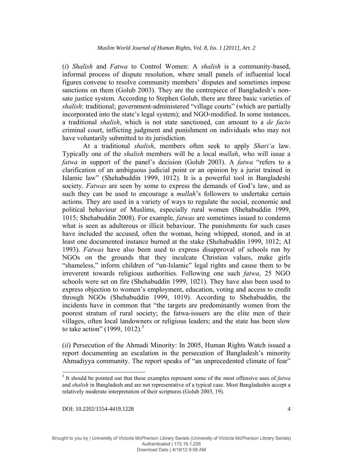(*i*) *Shalish* and *Fatwa* to Control Women: A *shalish* is a community-based, informal process of dispute resolution, where small panels of influential local figures convene to resolve community members' disputes and sometimes impose sanctions on them (Golub 2003). They are the centrepiece of Bangladesh's nonsate justice system. According to Stephen Golub, there are three basic varieties of *shalish*: traditional; government-administered "village courts" (which are partially incorporated into the state's legal system); and NGO-modified. In some instances, a traditional *shalish*, which is not state sanctioned, can amount to a *de facto* criminal court, inflicting judgment and punishment on individuals who may not have voluntarily submitted to its jurisdiction.

At a traditional *shalish*, members often seek to apply *Shari'a* law. Typically one of the *shalish* members will be a local *mullah*, who will issue a *fatwa* in support of the panel's decision (Golub 2003). A *fatwa* "refers to a clarification of an ambiguous judicial point or an opinion by a jurist trained in Islamic law" (Shehabuddin 1999, 1012). It is a powerful tool in Bangladeshi society. *Fatwas* are seen by some to express the demands of God's law, and as such they can be used to encourage a *mullah*'s followers to undertake certain actions. They are used in a variety of ways to regulate the social, economic and political behaviour of Muslims, especially rural women (Shehabuddin 1999, 1015; Shehabuddin 2008). For example, *fatwas* are sometimes issued to condemn what is seen as adulterous or illicit behaviour. The punishments for such cases have included the accused, often the woman, being whipped, stoned, and in at least one documented instance burned at the stake (Shehabuddin 1999, 1012; AI 1993). *Fatwas* have also been used to express disapproval of schools run by NGOs on the grounds that they inculcate Christian values, make girls "shameless," inform children of "un-Islamic" legal rights and cause them to be irreverent towards religious authorities. Following one such *fatwa*, 25 NGO schools were set on fire (Shehabuddin 1999, 1021). They have also been used to express objection to women's employment, education, voting and access to credit through NGOs (Shehabuddin 1999, 1019). According to Shehabuddin, the incidents have in common that "the targets are predominantly women from the poorest stratum of rural society; the fatwa-issuers are the elite men of their villages, often local landowners or religious leaders; and the state has been slow to take action" (1999, 1012).<sup>3</sup>

(*ii*) Persecution of the Ahmadi Minority: In 2005, Human Rights Watch issued a report documenting an escalation in the persecution of Bangladesh's minority Ahmadiyya community. The report speaks of "an unprecedented climate of fear"

DOI: 10.2202/1554-4419.1228

 $\overline{a}$ 

<sup>3</sup> It should be pointed out that these examples represent some of the most offensive uses of *fatwa* and *shalish* in Bangladesh and are not representative of a typical case. Most Bangladeshis accept a relatively moderate interpretation of their scriptures (Golub 2003, 19).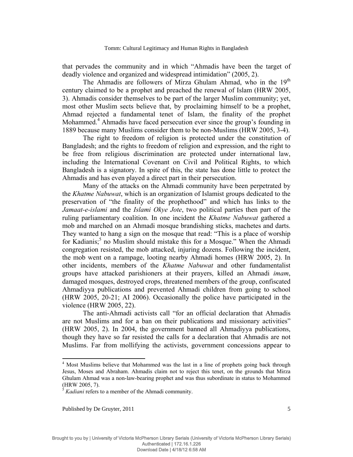that pervades the community and in which "Ahmadis have been the target of deadly violence and organized and widespread intimidation" (2005, 2).

The Ahmadis are followers of Mirza Ghulam Ahmad, who in the 19<sup>th</sup> century claimed to be a prophet and preached the renewal of Islam (HRW 2005, 3). Ahmadis consider themselves to be part of the larger Muslim community; yet, most other Muslim sects believe that, by proclaiming himself to be a prophet, Ahmad rejected a fundamental tenet of Islam, the finality of the prophet Mohammed.<sup>4</sup> Ahmadis have faced persecution ever since the group's founding in 1889 because many Muslims consider them to be non-Muslims (HRW 2005, 3-4).

 The right to freedom of religion is protected under the constitution of Bangladesh; and the rights to freedom of religion and expression, and the right to be free from religious discrimination are protected under international law, including the International Covenant on Civil and Political Rights, to which Bangladesh is a signatory. In spite of this, the state has done little to protect the Ahmadis and has even played a direct part in their persecution.

 Many of the attacks on the Ahmadi community have been perpetrated by the *Khatme Nabuwat*, which is an organization of Islamist groups dedicated to the preservation of "the finality of the prophethood" and which has links to the *Jamaat-e-islami* and the *Islami Okye Jote*, two political parties then part of the ruling parliamentary coalition. In one incident the *Khatme Nabuwat* gathered a mob and marched on an Ahmadi mosque brandishing sticks, machetes and darts. They wanted to hang a sign on the mosque that read: "This is a place of worship for Kadianis;<sup>5</sup> no Muslim should mistake this for a Mosque." When the Ahmadi congregation resisted, the mob attacked, injuring dozens. Following the incident, the mob went on a rampage, looting nearby Ahmadi homes (HRW 2005, 2). In other incidents, members of the *Khatme Nabuwat* and other fundamentalist groups have attacked parishioners at their prayers, killed an Ahmadi *imam*, damaged mosques, destroyed crops, threatened members of the group, confiscated Ahmadiyya publications and prevented Ahmadi children from going to school (HRW 2005, 20-21; AI 2006). Occasionally the police have participated in the violence (HRW 2005, 22).

The anti-Ahmadi activists call "for an official declaration that Ahmadis are not Muslims and for a ban on their publications and missionary activities" (HRW 2005, 2). In 2004, the government banned all Ahmadiyya publications, though they have so far resisted the calls for a declaration that Ahmadis are not Muslims. Far from mollifying the activists, government concessions appear to

<sup>&</sup>lt;sup>4</sup> Most Muslims believe that Mohammed was the last in a line of prophets going back through Jesus, Moses and Abraham. Ahmadis claim not to reject this tenet, on the grounds that Mirza Ghulam Ahmad was a non-law-bearing prophet and was thus subordinate in status to Mohammed (HRW 2005, 7).

<sup>&</sup>lt;sup>5</sup> *Kadiani* refers to a member of the Ahmadi community.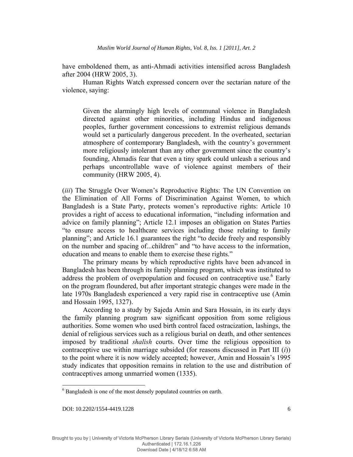have emboldened them, as anti-Ahmadi activities intensified across Bangladesh after 2004 (HRW 2005, 3).

Human Rights Watch expressed concern over the sectarian nature of the violence, saying:

Given the alarmingly high levels of communal violence in Bangladesh directed against other minorities, including Hindus and indigenous peoples, further government concessions to extremist religious demands would set a particularly dangerous precedent. In the overheated, sectarian atmosphere of contemporary Bangladesh, with the country's government more religiously intolerant than any other government since the country's founding, Ahmadis fear that even a tiny spark could unleash a serious and perhaps uncontrollable wave of violence against members of their community (HRW 2005, 4).

(*iii*) The Struggle Over Women's Reproductive Rights: The UN Convention on the Elimination of All Forms of Discrimination Against Women, to which Bangladesh is a State Party, protects women's reproductive rights: Article 10 provides a right of access to educational information, "including information and advice on family planning"; Article 12.1 imposes an obligation on States Parties "to ensure access to healthcare services including those relating to family planning"; and Article 16.1 guarantees the right "to decide freely and responsibly on the number and spacing of...children" and "to have access to the information, education and means to enable them to exercise these rights."

The primary means by which reproductive rights have been advanced in Bangladesh has been through its family planning program, which was instituted to address the problem of overpopulation and focused on contraceptive use.<sup>6</sup> Early on the program floundered, but after important strategic changes were made in the late 1970s Bangladesh experienced a very rapid rise in contraceptive use (Amin and Hossain 1995, 1327).

According to a study by Sajeda Amin and Sara Hossain, in its early days the family planning program saw significant opposition from some religious authorities. Some women who used birth control faced ostracization, lashings, the denial of religious services such as a religious burial on death, and other sentences imposed by traditional *shalish* courts. Over time the religious opposition to contraceptive use within marriage subsided (for reasons discussed in Part III (*i*)) to the point where it is now widely accepted; however, Amin and Hossain's 1995 study indicates that opposition remains in relation to the use and distribution of contraceptives among unmarried women (1335).

 6 Bangladesh is one of the most densely populated countries on earth.

DOI: 10.2202/1554-4419.1228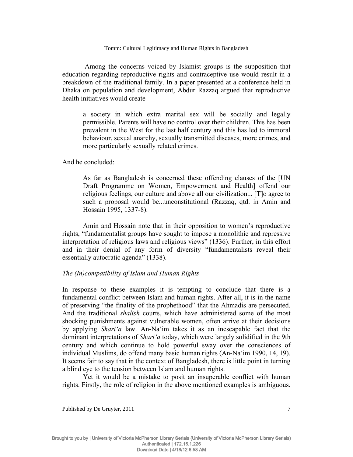#### Tomm: Cultural Legitimacy and Human Rights in Bangladesh

 Among the concerns voiced by Islamist groups is the supposition that education regarding reproductive rights and contraceptive use would result in a breakdown of the traditional family. In a paper presented at a conference held in Dhaka on population and development, Abdur Razzaq argued that reproductive health initiatives would create

a society in which extra marital sex will be socially and legally permissible. Parents will have no control over their children. This has been prevalent in the West for the last half century and this has led to immoral behaviour, sexual anarchy, sexually transmitted diseases, more crimes, and more particularly sexually related crimes.

And he concluded:

As far as Bangladesh is concerned these offending clauses of the [UN Draft Programme on Women, Empowerment and Health] offend our religious feelings, our culture and above all our civilization... [T]o agree to such a proposal would be...unconstitutional (Razzaq, qtd. in Amin and Hossain 1995, 1337-8).

Amin and Hossain note that in their opposition to women's reproductive rights, "fundamentalist groups have sought to impose a monolithic and repressive interpretation of religious laws and religious views" (1336). Further, in this effort and in their denial of any form of diversity "fundamentalists reveal their essentially autocratic agenda" (1338).

# *The (In)compatibility of Islam and Human Rights*

In response to these examples it is tempting to conclude that there is a fundamental conflict between Islam and human rights. After all, it is in the name of preserving "the finality of the prophethood" that the Ahmadis are persecuted. And the traditional *shalish* courts, which have administered some of the most shocking punishments against vulnerable women, often arrive at their decisions by applying *Shari'a* law. An-Na'im takes it as an inescapable fact that the dominant interpretations of *Shari'a* today, which were largely solidified in the 9th century and which continue to hold powerful sway over the consciences of individual Muslims, do offend many basic human rights (An-Na'im 1990, 14, 19). It seems fair to say that in the context of Bangladesh, there is little point in turning a blind eye to the tension between Islam and human rights.

Yet it would be a mistake to posit an insuperable conflict with human rights. Firstly, the role of religion in the above mentioned examples is ambiguous.

Published by De Gruyter, 2011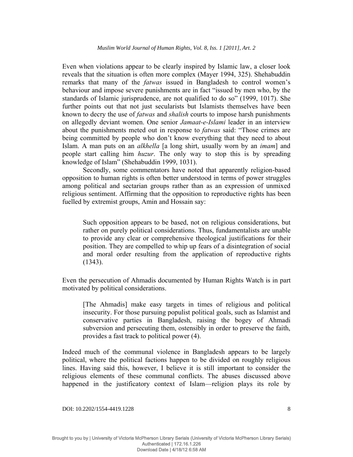Even when violations appear to be clearly inspired by Islamic law, a closer look reveals that the situation is often more complex (Mayer 1994, 325). Shehabuddin remarks that many of the *fatwas* issued in Bangladesh to control women's behaviour and impose severe punishments are in fact "issued by men who, by the standards of Islamic jurisprudence, are not qualified to do so" (1999, 1017). She further points out that not just secularists but Islamists themselves have been known to decry the use of *fatwas* and *shalish* courts to impose harsh punishments on allegedly deviant women. One senior *Jamaat-e-Islami* leader in an interview about the punishments meted out in response to *fatwas* said: "Those crimes are being committed by people who don't know everything that they need to about Islam. A man puts on an *alkhella* [a long shirt, usually worn by an *imam*] and people start calling him *huzur*. The only way to stop this is by spreading knowledge of Islam" (Shehabuddin 1999, 1031).

Secondly, some commentators have noted that apparently religion-based opposition to human rights is often better understood in terms of power struggles among political and sectarian groups rather than as an expression of unmixed religious sentiment. Affirming that the opposition to reproductive rights has been fuelled by extremist groups, Amin and Hossain say:

Such opposition appears to be based, not on religious considerations, but rather on purely political considerations. Thus, fundamentalists are unable to provide any clear or comprehensive theological justifications for their position. They are compelled to whip up fears of a disintegration of social and moral order resulting from the application of reproductive rights (1343).

Even the persecution of Ahmadis documented by Human Rights Watch is in part motivated by political considerations.

[The Ahmadis] make easy targets in times of religious and political insecurity. For those pursuing populist political goals, such as Islamist and conservative parties in Bangladesh, raising the bogey of Ahmadi subversion and persecuting them, ostensibly in order to preserve the faith, provides a fast track to political power (4).

Indeed much of the communal violence in Bangladesh appears to be largely political, where the political factions happen to be divided on roughly religious lines. Having said this, however, I believe it is still important to consider the religious elements of these communal conflicts. The abuses discussed above happened in the justificatory context of Islam—religion plays its role by

DOI: 10.2202/1554-4419.1228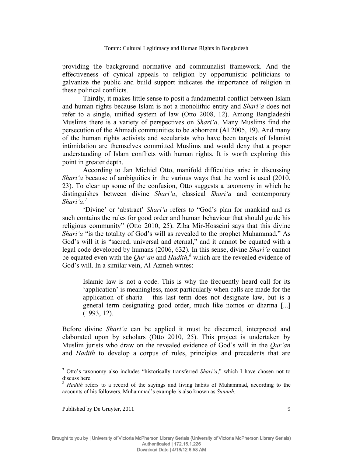providing the background normative and communalist framework. And the effectiveness of cynical appeals to religion by opportunistic politicians to galvanize the public and build support indicates the importance of religion in these political conflicts.

Thirdly, it makes little sense to posit a fundamental conflict between Islam and human rights because Islam is not a monolithic entity and *Shari'a* does not refer to a single, unified system of law (Otto 2008, 12). Among Bangladeshi Muslims there is a variety of perspectives on *Shari'a*. Many Muslims find the persecution of the Ahmadi communities to be abhorrent (AI 2005, 19). And many of the human rights activists and secularists who have been targets of Islamist intimidation are themselves committed Muslims and would deny that a proper understanding of Islam conflicts with human rights. It is worth exploring this point in greater depth.

According to Jan Michiel Otto, manifold difficulties arise in discussing *Shari'a* because of ambiguities in the various ways that the word is used (2010, 23). To clear up some of the confusion, Otto suggests a taxonomy in which he distinguishes between divine *Shari'a*, classical *Shari'a* and contemporary *Shari'a*. 7

'Divine' or 'abstract' *Shari'a* refers to "God's plan for mankind and as such contains the rules for good order and human behaviour that should guide his religious community" (Otto 2010, 25). Ziba Mir-Hosseini says that this divine *Shari'a* "is the totality of God's will as revealed to the prophet Muhammad." As God's will it is "sacred, universal and eternal," and it cannot be equated with a legal code developed by humans (2006, 632). In this sense, divine *Shari'a* cannot be equated even with the *Qur'an* and  $Hadith$ <sup>8</sup>, which are the revealed evidence of God's will. In a similar vein, Al-Azmeh writes:

Islamic law is not a code. This is why the frequently heard call for its 'application' is meaningless, most particularly when calls are made for the application of sharia – this last term does not designate law, but is a general term designating good order, much like nomos or dharma [...] (1993, 12).

Before divine *Shari'a* can be applied it must be discerned, interpreted and elaborated upon by scholars (Otto 2010, 25). This project is undertaken by Muslim jurists who draw on the revealed evidence of God's will in the *Qur'an* and *Hadith* to develop a corpus of rules, principles and precedents that are

<sup>7</sup> Otto's taxonomy also includes "historically transferred *Shari'a*," which I have chosen not to discuss here.

<sup>8</sup> *Hadith* refers to a record of the sayings and living habits of Muhammad, according to the accounts of his followers. Muhammad's example is also known as *Sunnah*.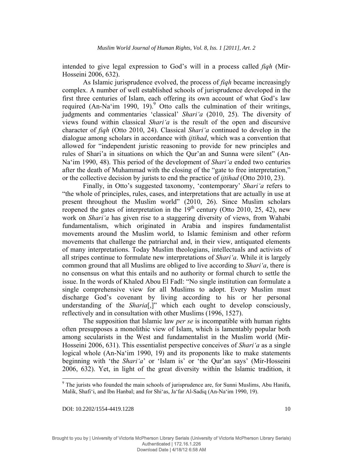intended to give legal expression to God's will in a process called *fiqh* (Mir-Hosseini 2006, 632).

As Islamic jurisprudence evolved, the process of *fiqh* became increasingly complex. A number of well established schools of jurisprudence developed in the first three centuries of Islam, each offering its own account of what God's law required (An-Na'im 1990, 19).<sup>9</sup> Otto calls the culmination of their writings, judgments and commentaries 'classical' *Shari'a* (2010, 25). The diversity of views found within classical *Shari'a* is the result of the open and discursive character of *fiqh* (Otto 2010, 24). Classical *Shari'a* continued to develop in the dialogue among scholars in accordance with *ijtihad*, which was a convention that allowed for "independent juristic reasoning to provide for new principles and rules of Shari'a in situations on which the Qur'an and Sunna were silent" (An-Na'im 1990, 48). This period of the development of *Shari'a* ended two centuries after the death of Muhammad with the closing of the "gate to free interpretation," or the collective decision by jurists to end the practice of *ijtihad* (Otto 2010, 23).

Finally, in Otto's suggested taxonomy, 'contemporary' *Shari'a* refers to "the whole of principles, rules, cases, and interpretations that are actually in use at present throughout the Muslim world" (2010, 26). Since Muslim scholars reopened the gates of interpretation in the  $19<sup>th</sup>$  century (Otto 2010, 25, 42), new work on *Shari'a* has given rise to a staggering diversity of views, from Wahabi fundamentalism, which originated in Arabia and inspires fundamentalist movements around the Muslim world, to Islamic feminism and other reform movements that challenge the patriarchal and, in their view, antiquated elements of many interpretations. Today Muslim theologians, intellectuals and activists of all stripes continue to formulate new interpretations of *Shari'a*. While it is largely common ground that all Muslims are obliged to live according to *Shari'a*, there is no consensus on what this entails and no authority or formal church to settle the issue. In the words of Khaled Abou El Fadl: "No single institution can formulate a single comprehensive view for all Muslims to adopt. Every Muslim must discharge God's covenant by living according to his or her personal understanding of the *Sharia*[,]" which each ought to develop consciously, reflectively and in consultation with other Muslims (1996, 1527).

The supposition that Islamic law *per se* is incompatible with human rights often presupposes a monolithic view of Islam, which is lamentably popular both among secularists in the West and fundamentalist in the Muslim world (Mir-Hosseini 2006, 631). This essentialist perspective conceives of *Shari'a* as a single logical whole (An-Na'im 1990, 19) and its proponents like to make statements beginning with 'the *Shari'a*' or 'Islam is' or 'the Qur'an says' (Mir-Hosseini 2006, 632). Yet, in light of the great diversity within the Islamic tradition, it

 $\overline{a}$ 

<sup>&</sup>lt;sup>9</sup> The jurists who founded the main schools of jurisprudence are, for Sunni Muslims, Abu Hanifa, Malik, Shafi'i, and Ibn Hanbal; and for Shi'as, Ja'far Al-Sadiq (An-Na'im 1990, 19).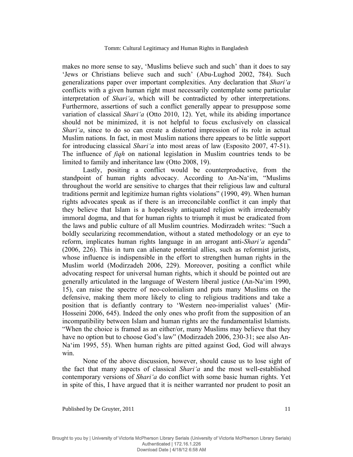makes no more sense to say, 'Muslims believe such and such' than it does to say 'Jews or Christians believe such and such' (Abu-Lughod 2002, 784). Such generalizations paper over important complexities. Any declaration that *Shari'a* conflicts with a given human right must necessarily contemplate some particular interpretation of *Shari'a*, which will be contradicted by other interpretations. Furthermore, assertions of such a conflict generally appear to presuppose some variation of classical *Shari'a* (Otto 2010, 12). Yet, while its abiding importance should not be minimized, it is not helpful to focus exclusively on classical *Shari'a*, since to do so can create a distorted impression of its role in actual Muslim nations. In fact, in most Muslim nations there appears to be little support for introducing classical *Shari'a* into most areas of law (Esposito 2007, 47-51). The influence of *fiqh* on national legislation in Muslim countries tends to be limited to family and inheritance law (Otto 2008, 19).

Lastly, positing a conflict would be counterproductive, from the standpoint of human rights advocacy. According to An-Na'im, "Muslims throughout the world are sensitive to charges that their religious law and cultural traditions permit and legitimize human rights violations" (1990, 49). When human rights advocates speak as if there is an irreconcilable conflict it can imply that they believe that Islam is a hopelessly antiquated religion with irredeemably immoral dogma, and that for human rights to triumph it must be eradicated from the laws and public culture of all Muslim countries. Modirzadeh writes: "Such a boldly secularizing recommendation, without a stated methodology or an eye to reform, implicates human rights language in an arrogant anti-*Shari'a* agenda" (2006, 226). This in turn can alienate potential allies, such as reformist jurists, whose influence is indispensible in the effort to strengthen human rights in the Muslim world (Modirzadeh 2006, 229). Moreover, positing a conflict while advocating respect for universal human rights, which it should be pointed out are generally articulated in the language of Western liberal justice (An-Na'im 1990, 15), can raise the spectre of neo-colonialism and puts many Muslims on the defensive, making them more likely to cling to religious traditions and take a position that is defiantly contrary to 'Western neo-imperialist values' (Mir-Hosseini 2006, 645). Indeed the only ones who profit from the supposition of an incompatibility between Islam and human rights are the fundamentalist Islamists. "When the choice is framed as an either/or, many Muslims may believe that they have no option but to choose God's law" (Modirzadeh 2006, 230-31; see also An-Na'im 1995, 55). When human rights are pitted against God, God will always win.

None of the above discussion, however, should cause us to lose sight of the fact that many aspects of classical *Shari'a* and the most well-established contemporary versions of *Shari'a* do conflict with some basic human rights. Yet in spite of this, I have argued that it is neither warranted nor prudent to posit an

Published by De Gruyter, 2011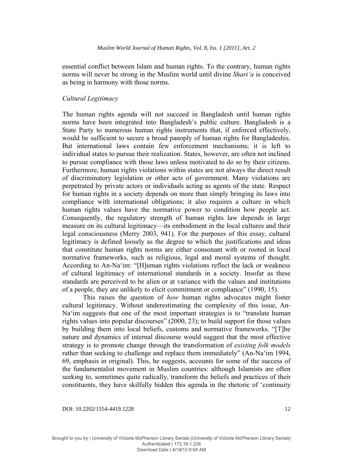essential conflict between Islam and human rights. To the contrary, human rights norms will never be strong in the Muslim world until divine *Shari'a* is conceived as being in harmony with those norms.

# *Cultural Legitimacy*

The human rights agenda will not succeed in Bangladesh until human rights norms have been integrated into Bangladesh's public culture. Bangladesh is a State Party to numerous human rights instruments that, if enforced effectively, would be sufficient to secure a broad panoply of human rights for Bangladeshis. But international laws contain few enforcement mechanisms; it is left to individual states to pursue their realization. States, however, are often not inclined to pursue compliance with those laws unless motivated to do so by their citizens. Furthermore, human rights violations within states are not always the direct result of discriminatory legislation or other acts of government. Many violations are perpetrated by private actors or individuals acting as agents of the state. Respect for human rights in a society depends on more than simply bringing its laws into compliance with international obligations; it also requires a culture in which human rights values have the normative power to condition how people act. Consequently, the regulatory strength of human rights law depends in large measure on its cultural legitimacy—its embodiment in the local cultures and their legal consciousness (Merry 2003, 941). For the purposes of this essay, cultural legitimacy is defined loosely as the degree to which the justifications and ideas that constitute human rights norms are either consonant with or rooted in local normative frameworks, such as religious, legal and moral systems of thought. According to An-Na'im: "[H]uman rights violations reflect the lack or weakness of cultural legitimacy of international standards in a society. Insofar as these standards are perceived to be alien or at variance with the values and institutions of a people, they are unlikely to elicit commitment or compliance" (1990, 15).

This raises the question of *how* human rights advocates might foster cultural legitimacy. Without underestimating the complexity of this issue, An-Na'im suggests that one of the most important strategies is to "translate human rights values into popular discourses" (2000, 23); to build support for those values by building them into local beliefs, customs and normative frameworks. "[T]he nature and dynamics of internal discourse would suggest that the most effective strategy is to promote change through the transformation of *existing folk models* rather than seeking to challenge and replace them immediately" (An-Na'im 1994, 69, emphasis in original). This, he suggests, accounts for some of the success of the fundamentalist movement in Muslim countries: although Islamists are often seeking to, sometimes quite radically, transform the beliefs and practices of their constituents, they have skilfully hidden this agenda in the rhetoric of 'continuity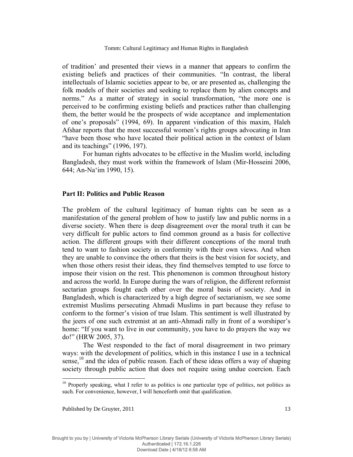of tradition' and presented their views in a manner that appears to confirm the existing beliefs and practices of their communities. "In contrast, the liberal intellectuals of Islamic societies appear to be, or are presented as, challenging the folk models of their societies and seeking to replace them by alien concepts and norms." As a matter of strategy in social transformation, "the more one is perceived to be confirming existing beliefs and practices rather than challenging them, the better would be the prospects of wide acceptance and implementation of one's proposals" (1994, 69). In apparent vindication of this maxim, Haleh Afshar reports that the most successful women's rights groups advocating in Iran "have been those who have located their political action in the context of Islam and its teachings" (1996, 197).

 For human rights advocates to be effective in the Muslim world, including Bangladesh, they must work within the framework of Islam (Mir-Hosseini 2006, 644; An-Na'im 1990, 15).

### **Part II: Politics and Public Reason**

The problem of the cultural legitimacy of human rights can be seen as a manifestation of the general problem of how to justify law and public norms in a diverse society. When there is deep disagreement over the moral truth it can be very difficult for public actors to find common ground as a basis for collective action. The different groups with their different conceptions of the moral truth tend to want to fashion society in conformity with their own views. And when they are unable to convince the others that theirs is the best vision for society, and when those others resist their ideas, they find themselves tempted to use force to impose their vision on the rest. This phenomenon is common throughout history and across the world. In Europe during the wars of religion, the different reformist sectarian groups fought each other over the moral basis of society. And in Bangladesh, which is characterized by a high degree of sectarianism, we see some extremist Muslims persecuting Ahmadi Muslims in part because they refuse to conform to the former's vision of true Islam. This sentiment is well illustrated by the jeers of one such extremist at an anti-Ahmadi rally in front of a worshiper's home: "If you want to live in our community, you have to do prayers the way we do!" (HRW 2005, 37).

 The West responded to the fact of moral disagreement in two primary ways: with the development of politics, which in this instance I use in a technical sense, $^{10}$  and the idea of public reason. Each of these ideas offers a way of shaping society through public action that does not require using undue coercion. Each

Published by De Gruyter, 2011

<sup>&</sup>lt;sup>10</sup> Properly speaking, what I refer to as politics is one particular type of politics, not politics as such. For convenience, however, I will henceforth omit that qualification.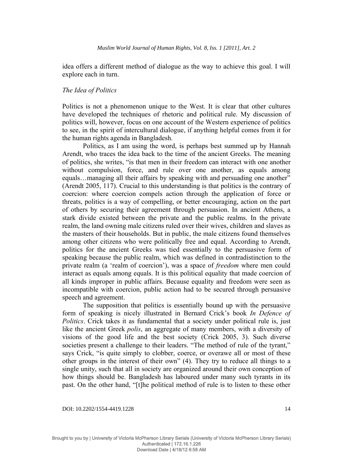idea offers a different method of dialogue as the way to achieve this goal. I will explore each in turn.

# *The Idea of Politics*

Politics is not a phenomenon unique to the West. It is clear that other cultures have developed the techniques of rhetoric and political rule. My discussion of politics will, however, focus on one account of the Western experience of politics to see, in the spirit of intercultural dialogue, if anything helpful comes from it for the human rights agenda in Bangladesh.

Politics, as I am using the word, is perhaps best summed up by Hannah Arendt, who traces the idea back to the time of the ancient Greeks. The meaning of politics, she writes, "is that men in their freedom can interact with one another without compulsion, force, and rule over one another, as equals among equals…managing all their affairs by speaking with and persuading one another" (Arendt 2005, 117). Crucial to this understanding is that politics is the contrary of coercion: where coercion compels action through the application of force or threats, politics is a way of compelling, or better encouraging, action on the part of others by securing their agreement through persuasion. In ancient Athens, a stark divide existed between the private and the public realms. In the private realm, the land owning male citizens ruled over their wives, children and slaves as the masters of their households. But in public, the male citizens found themselves among other citizens who were politically free and equal. According to Arendt, politics for the ancient Greeks was tied essentially to the persuasive form of speaking because the public realm, which was defined in contradistinction to the private realm (a 'realm of coercion'), was a space of *freedom* where men could interact as equals among equals. It is this political equality that made coercion of all kinds improper in public affairs. Because equality and freedom were seen as incompatible with coercion, public action had to be secured through persuasive speech and agreement.

The supposition that politics is essentially bound up with the persuasive form of speaking is nicely illustrated in Bernard Crick's book *In Defence of Politics*. Crick takes it as fundamental that a society under political rule is, just like the ancient Greek *polis*, an aggregate of many members, with a diversity of visions of the good life and the best society (Crick 2005, 3). Such diverse societies present a challenge to their leaders. "The method of rule of the tyrant," says Crick, "is quite simply to clobber, coerce, or overawe all or most of these other groups in the interest of their own" (4). They try to reduce all things to a single unity, such that all in society are organized around their own conception of how things should be. Bangladesh has laboured under many such tyrants in its past. On the other hand, "[t]he political method of rule is to listen to these other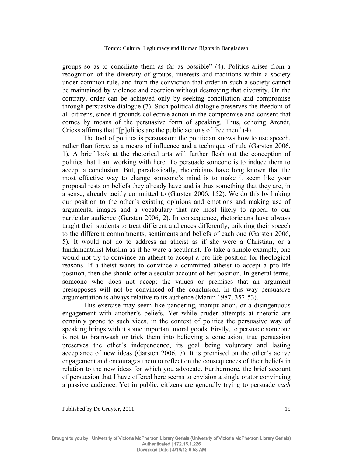groups so as to conciliate them as far as possible" (4). Politics arises from a recognition of the diversity of groups, interests and traditions within a society under common rule, and from the conviction that order in such a society cannot be maintained by violence and coercion without destroying that diversity. On the contrary, order can be achieved only by seeking conciliation and compromise through persuasive dialogue (7). Such political dialogue preserves the freedom of all citizens, since it grounds collective action in the compromise and consent that comes by means of the persuasive form of speaking. Thus, echoing Arendt, Cricks affirms that "[p]olitics are the public actions of free men" (4).

 The tool of politics is persuasion; the politician knows how to use speech, rather than force, as a means of influence and a technique of rule (Garsten 2006, 1). A brief look at the rhetorical arts will further flesh out the conception of politics that I am working with here. To persuade someone is to induce them to accept a conclusion. But, paradoxically, rhetoricians have long known that the most effective way to change someone's mind is to make it seem like your proposal rests on beliefs they already have and is thus something that they are, in a sense, already tacitly committed to (Garsten 2006, 152). We do this by linking our position to the other's existing opinions and emotions and making use of arguments, images and a vocabulary that are most likely to appeal to our particular audience (Garsten 2006, 2). In consequence, rhetoricians have always taught their students to treat different audiences differently, tailoring their speech to the different commitments, sentiments and beliefs of each one (Garsten 2006, 5). It would not do to address an atheist as if she were a Christian, or a fundamentalist Muslim as if he were a secularist. To take a simple example, one would not try to convince an atheist to accept a pro-life position for theological reasons. If a theist wants to convince a committed atheist to accept a pro-life position, then she should offer a secular account of her position. In general terms, someone who does not accept the values or premises that an argument presupposes will not be convinced of the conclusion. In this way persuasive argumentation is always relative to its audience (Manin 1987, 352-53).

 This exercise may seem like pandering, manipulation, or a disingenuous engagement with another's beliefs. Yet while cruder attempts at rhetoric are certainly prone to such vices, in the context of politics the persuasive way of speaking brings with it some important moral goods. Firstly, to persuade someone is not to brainwash or trick them into believing a conclusion; true persuasion preserves the other's independence, its goal being voluntary and lasting acceptance of new ideas (Garsten 2006, 7). It is premised on the other's active engagement and encourages them to reflect on the consequences of their beliefs in relation to the new ideas for which you advocate. Furthermore, the brief account of persuasion that I have offered here seems to envision a single orator convincing a passive audience. Yet in public, citizens are generally trying to persuade *each*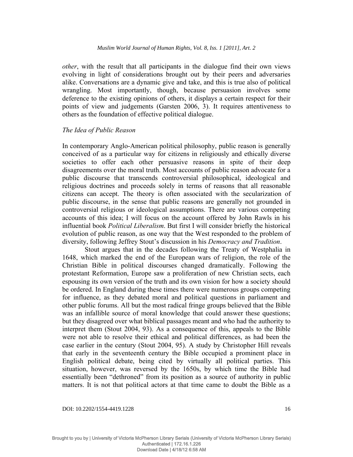*other*, with the result that all participants in the dialogue find their own views evolving in light of considerations brought out by their peers and adversaries alike. Conversations are a dynamic give and take, and this is true also of political wrangling. Most importantly, though, because persuasion involves some deference to the existing opinions of others, it displays a certain respect for their points of view and judgements (Garsten 2006, 3). It requires attentiveness to others as the foundation of effective political dialogue.

# *The Idea of Public Reason*

In contemporary Anglo-American political philosophy, public reason is generally conceived of as a particular way for citizens in religiously and ethically diverse societies to offer each other persuasive reasons in spite of their deep disagreements over the moral truth. Most accounts of public reason advocate for a public discourse that transcends controversial philosophical, ideological and religious doctrines and proceeds solely in terms of reasons that all reasonable citizens can accept. The theory is often associated with the secularization of public discourse, in the sense that public reasons are generally not grounded in controversial religious or ideological assumptions. There are various competing accounts of this idea; I will focus on the account offered by John Rawls in his influential book *Political Liberalism*. But first I will consider briefly the historical evolution of public reason, as one way that the West responded to the problem of diversity, following Jeffrey Stout's discussion in his *Democracy and Tradition*.

 Stout argues that in the decades following the Treaty of Westphalia in 1648, which marked the end of the European wars of religion, the role of the Christian Bible in political discourses changed dramatically. Following the protestant Reformation, Europe saw a proliferation of new Christian sects, each espousing its own version of the truth and its own vision for how a society should be ordered. In England during these times there were numerous groups competing for influence, as they debated moral and political questions in parliament and other public forums. All but the most radical fringe groups believed that the Bible was an infallible source of moral knowledge that could answer these questions; but they disagreed over what biblical passages meant and who had the authority to interpret them (Stout 2004, 93). As a consequence of this, appeals to the Bible were not able to resolve their ethical and political differences, as had been the case earlier in the century (Stout 2004, 95). A study by Christopher Hill reveals that early in the seventeenth century the Bible occupied a prominent place in English political debate, being cited by virtually all political parties. This situation, however, was reversed by the 1650s, by which time the Bible had essentially been "dethroned" from its position as a source of authority in public matters. It is not that political actors at that time came to doubt the Bible as a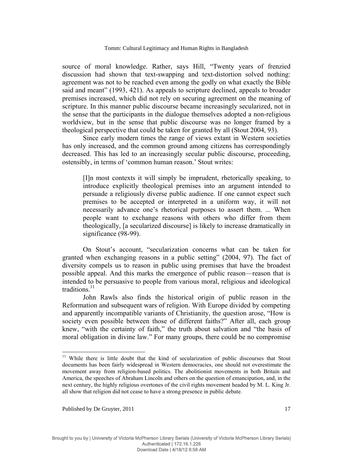source of moral knowledge. Rather, says Hill, "Twenty years of frenzied discussion had shown that text-swapping and text-distortion solved nothing: agreement was not to be reached even among the godly on what exactly the Bible said and meant" (1993, 421). As appeals to scripture declined, appeals to broader premises increased, which did not rely on securing agreement on the meaning of scripture. In this manner public discourse became increasingly secularized, not in the sense that the participants in the dialogue themselves adopted a non-religious worldview, but in the sense that public discourse was no longer framed by a theological perspective that could be taken for granted by all (Stout 2004, 93).

 Since early modern times the range of views extant in Western societies has only increased, and the common ground among citizens has correspondingly decreased. This has led to an increasingly secular public discourse, proceeding, ostensibly, in terms of 'common human reason.' Stout writes:

[I]n most contexts it will simply be imprudent, rhetorically speaking, to introduce explicitly theological premises into an argument intended to persuade a religiously diverse public audience. If one cannot expect such premises to be accepted or interpreted in a uniform way, it will not necessarily advance one's rhetorical purposes to assert them. ... When people want to exchange reasons with others who differ from them theologically, [a secularized discourse] is likely to increase dramatically in significance (98-99).

On Stout's account, "secularization concerns what can be taken for granted when exchanging reasons in a public setting" (2004, 97). The fact of diversity compels us to reason in public using premises that have the broadest possible appeal. And this marks the emergence of public reason—reason that is intended to be persuasive to people from various moral, religious and ideological traditions. $11$ 

John Rawls also finds the historical origin of public reason in the Reformation and subsequent wars of religion. With Europe divided by competing and apparently incompatible variants of Christianity, the question arose, "How is society even possible between those of different faiths?" After all, each group knew, "with the certainty of faith," the truth about salvation and "the basis of moral obligation in divine law." For many groups, there could be no compromise

Published by De Gruyter, 2011

<sup>&</sup>lt;sup>11</sup> While there is little doubt that the kind of secularization of public discourses that Stout documents has been fairly widespread in Western democracies, one should not overestimate the movement away from religion-based politics. The abolitionist movements in both Britain and America, the speeches of Abraham Lincoln and others on the question of emancipation, and, in the next century, the highly religious overtones of the civil rights movement headed by M. L. King Jr. all show that religion did not cease to have a strong presence in public debate.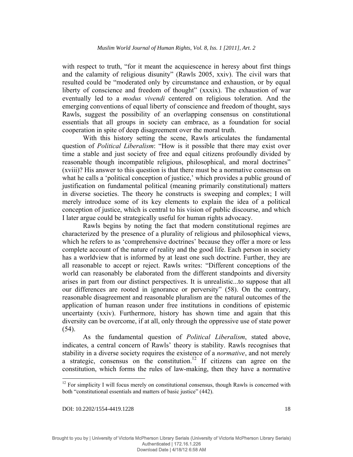with respect to truth, "for it meant the acquiescence in heresy about first things and the calamity of religious disunity" (Rawls 2005, xxiv). The civil wars that resulted could be "moderated only by circumstance and exhaustion, or by equal liberty of conscience and freedom of thought" (xxxix). The exhaustion of war eventually led to a *modus vivendi* centered on religious toleration. And the emerging conventions of equal liberty of conscience and freedom of thought, says Rawls, suggest the possibility of an overlapping consensus on constitutional essentials that all groups in society can embrace, as a foundation for social cooperation in spite of deep disagreement over the moral truth.

With this history setting the scene, Rawls articulates the fundamental question of *Political Liberalism*: "How is it possible that there may exist over time a stable and just society of free and equal citizens profoundly divided by reasonable though incompatible religious, philosophical, and moral doctrines" (xviii)? His answer to this question is that there must be a normative consensus on what he calls a 'political conception of justice,' which provides a public ground of justification on fundamental political (meaning primarily constitutional) matters in diverse societies. The theory he constructs is sweeping and complex; I will merely introduce some of its key elements to explain the idea of a political conception of justice, which is central to his vision of public discourse, and which I later argue could be strategically useful for human rights advocacy.

Rawls begins by noting the fact that modern constitutional regimes are characterized by the presence of a plurality of religious and philosophical views, which he refers to as 'comprehensive doctrines' because they offer a more or less complete account of the nature of reality and the good life. Each person in society has a worldview that is informed by at least one such doctrine. Further, they are all reasonable to accept or reject. Rawls writes: "Different conceptions of the world can reasonably be elaborated from the different standpoints and diversity arises in part from our distinct perspectives. It is unrealistic...to suppose that all our differences are rooted in ignorance or perversity" (58). On the contrary, reasonable disagreement and reasonable pluralism are the natural outcomes of the application of human reason under free institutions in conditions of epistemic uncertainty (xxiv). Furthermore, history has shown time and again that this diversity can be overcome, if at all, only through the oppressive use of state power (54).

As the fundamental question of *Political Liberalism*, stated above, indicates, a central concern of Rawls' theory is stability. Rawls recognises that stability in a diverse society requires the existence of a *normative*, and not merely a strategic, consensus on the constitution.<sup>12</sup> If citizens can agree on the constitution, which forms the rules of law-making, then they have a normative

 $\overline{a}$ 

<sup>&</sup>lt;sup>12</sup> For simplicity I will focus merely on constitutional consensus, though Rawls is concerned with both "constitutional essentials and matters of basic justice" (442).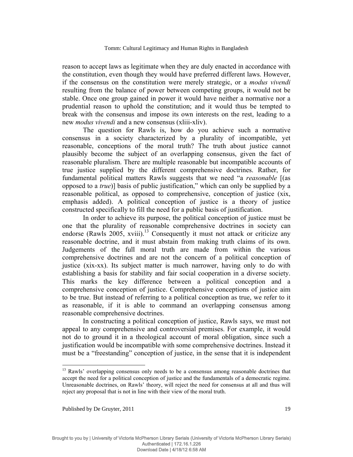reason to accept laws as legitimate when they are duly enacted in accordance with the constitution, even though they would have preferred different laws. However, if the consensus on the constitution were merely strategic, or a *modus vivendi* resulting from the balance of power between competing groups, it would not be stable. Once one group gained in power it would have neither a normative nor a prudential reason to uphold the constitution; and it would thus be tempted to break with the consensus and impose its own interests on the rest, leading to a new *modus vivendi* and a new consensus (xliii-xliv).

The question for Rawls is, how do you achieve such a normative consensus in a society characterized by a plurality of incompatible, yet reasonable, conceptions of the moral truth? The truth about justice cannot plausibly become the subject of an overlapping consensus, given the fact of reasonable pluralism. There are multiple reasonable but incompatible accounts of true justice supplied by the different comprehensive doctrines. Rather, for fundamental political matters Rawls suggests that we need "a *reasonable* [(as opposed to a *true*)] basis of public justification," which can only be supplied by a reasonable political, as opposed to comprehensive, conception of justice (xix, emphasis added). A political conception of justice is a theory of justice constructed specifically to fill the need for a public basis of justification.

In order to achieve its purpose, the political conception of justice must be one that the plurality of reasonable comprehensive doctrines in society can endorse (Rawls 2005, xviii).<sup>13</sup> Consequently it must not attack or criticize any reasonable doctrine, and it must abstain from making truth claims of its own. Judgements of the full moral truth are made from within the various comprehensive doctrines and are not the concern of a political conception of justice (xix-xx). Its subject matter is much narrower, having only to do with establishing a basis for stability and fair social cooperation in a diverse society. This marks the key difference between a political conception and a comprehensive conception of justice. Comprehensive conceptions of justice aim to be true. But instead of referring to a political conception as true, we refer to it as reasonable, if it is able to command an overlapping consensus among reasonable comprehensive doctrines.

In constructing a political conception of justice, Rawls says, we must not appeal to any comprehensive and controversial premises. For example, it would not do to ground it in a theological account of moral obligation, since such a justification would be incompatible with some comprehensive doctrines. Instead it must be a "freestanding" conception of justice, in the sense that it is independent

<sup>&</sup>lt;sup>13</sup> Rawls' overlapping consensus only needs to be a consensus among reasonable doctrines that accept the need for a political conception of justice and the fundamentals of a democratic regime. Unreasonable doctrines, on Rawls' theory, will reject the need for consensus at all and thus will reject any proposal that is not in line with their view of the moral truth.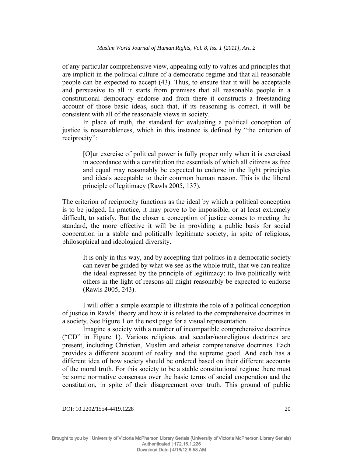of any particular comprehensive view, appealing only to values and principles that are implicit in the political culture of a democratic regime and that all reasonable people can be expected to accept (43). Thus, to ensure that it will be acceptable and persuasive to all it starts from premises that all reasonable people in a constitutional democracy endorse and from there it constructs a freestanding account of those basic ideas, such that, if its reasoning is correct, it will be consistent with all of the reasonable views in society.

In place of truth, the standard for evaluating a political conception of justice is reasonableness, which in this instance is defined by "the criterion of reciprocity":

[O]ur exercise of political power is fully proper only when it is exercised in accordance with a constitution the essentials of which all citizens as free and equal may reasonably be expected to endorse in the light principles and ideals acceptable to their common human reason. This is the liberal principle of legitimacy (Rawls 2005, 137).

The criterion of reciprocity functions as the ideal by which a political conception is to be judged. In practice, it may prove to be impossible, or at least extremely difficult, to satisfy. But the closer a conception of justice comes to meeting the standard, the more effective it will be in providing a public basis for social cooperation in a stable and politically legitimate society, in spite of religious, philosophical and ideological diversity.

It is only in this way, and by accepting that politics in a democratic society can never be guided by what we see as the whole truth, that we can realize the ideal expressed by the principle of legitimacy: to live politically with others in the light of reasons all might reasonably be expected to endorse (Rawls 2005, 243).

I will offer a simple example to illustrate the role of a political conception of justice in Rawls' theory and how it is related to the comprehensive doctrines in a society. See Figure 1 on the next page for a visual representation.

Imagine a society with a number of incompatible comprehensive doctrines ("CD" in Figure 1). Various religious and secular/nonreligious doctrines are present, including Christian, Muslim and atheist comprehensive doctrines. Each provides a different account of reality and the supreme good. And each has a different idea of how society should be ordered based on their different accounts of the moral truth. For this society to be a stable constitutional regime there must be some normative consensus over the basic terms of social cooperation and the constitution, in spite of their disagreement over truth. This ground of public

DOI: 10.2202/1554-4419.1228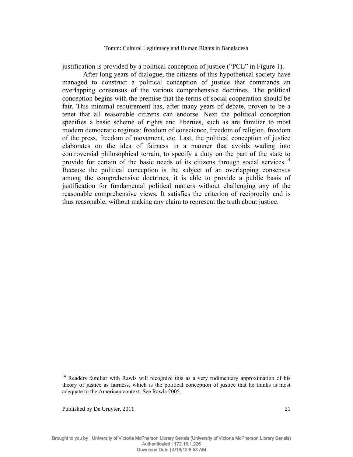justification is provided by a political conception of justice ("PCL" in Figure 1).

After long years of dialogue, the citizens of this hypothetical society have managed to construct a political conception of justice that commands an overlapping consensus of the various comprehensive doctrines. The political conception begins with the premise that the terms of social cooperation should be fair. This minimal requirement has, after many years of debate, proven to be a tenet that all reasonable citizens can endorse. Next the political conception specifies a basic scheme of rights and liberties, such as are familiar to most modern democratic regimes: freedom of conscience, freedom of religion, freedom of the press, freedom of movement, etc. Last, the political conception of justice elaborates on the idea of fairness in a manner that avoids wading into controversial philosophical terrain, to specify a duty on the part of the state to provide for certain of the basic needs of its citizens through social services.<sup>14</sup> Because the political conception is the subject of an overlapping consensus among the comprehensive doctrines, it is able to provide a public basis of justification for fundamental political matters without challenging any of the reasonable comprehensive views. It satisfies the criterion of reciprocity and is thus reasonable, without making any claim to represent the truth about justice.

Published by De Gruyter, 2011

<sup>&</sup>lt;sup>14</sup> Readers familiar with Rawls will recognize this as a very rudimentary approximation of his theory of justice as fairness, which is the political conception of justice that he thinks is most adequate to the American context. See Rawls 2005.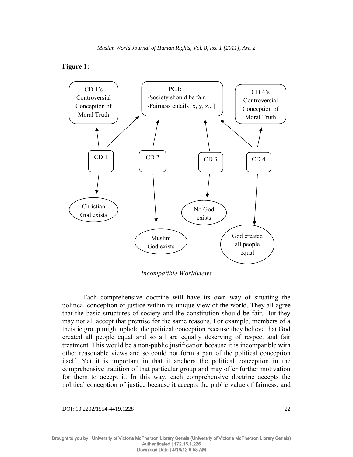



*Incompatible Worldviews* 

Each comprehensive doctrine will have its own way of situating the political conception of justice within its unique view of the world. They all agree that the basic structures of society and the constitution should be fair. But they may not all accept that premise for the same reasons. For example, members of a theistic group might uphold the political conception because they believe that God created all people equal and so all are equally deserving of respect and fair treatment. This would be a non-public justification because it is incompatible with other reasonable views and so could not form a part of the political conception itself. Yet it is important in that it anchors the political conception in the comprehensive tradition of that particular group and may offer further motivation for them to accept it. In this way, each comprehensive doctrine accepts the political conception of justice because it accepts the public value of fairness; and

DOI: 10.2202/1554-4419.1228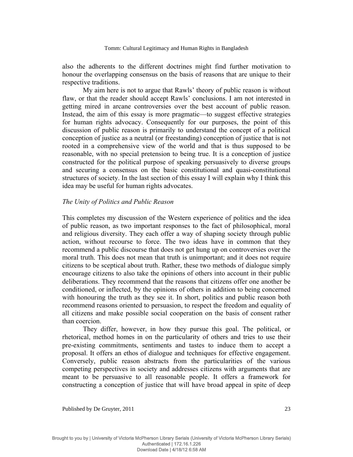also the adherents to the different doctrines might find further motivation to honour the overlapping consensus on the basis of reasons that are unique to their respective traditions.

My aim here is not to argue that Rawls' theory of public reason is without flaw, or that the reader should accept Rawls' conclusions. I am not interested in getting mired in arcane controversies over the best account of public reason. Instead, the aim of this essay is more pragmatic—to suggest effective strategies for human rights advocacy. Consequently for our purposes, the point of this discussion of public reason is primarily to understand the concept of a political conception of justice as a neutral (or freestanding) conception of justice that is not rooted in a comprehensive view of the world and that is thus supposed to be reasonable, with no special pretension to being true. It is a conception of justice constructed for the political purpose of speaking persuasively to diverse groups and securing a consensus on the basic constitutional and quasi-constitutional structures of society. In the last section of this essay I will explain why I think this idea may be useful for human rights advocates.

# *The Unity of Politics and Public Reason*

This completes my discussion of the Western experience of politics and the idea of public reason, as two important responses to the fact of philosophical, moral and religious diversity. They each offer a way of shaping society through public action, without recourse to force. The two ideas have in common that they recommend a public discourse that does not get hung up on controversies over the moral truth. This does not mean that truth is unimportant; and it does not require citizens to be sceptical about truth. Rather, these two methods of dialogue simply encourage citizens to also take the opinions of others into account in their public deliberations. They recommend that the reasons that citizens offer one another be conditioned, or inflected, by the opinions of others in addition to being concerned with honouring the truth as they see it. In short, politics and public reason both recommend reasons oriented to persuasion, to respect the freedom and equality of all citizens and make possible social cooperation on the basis of consent rather than coercion.

 They differ, however, in how they pursue this goal. The political, or rhetorical, method homes in on the particularity of others and tries to use their pre-existing commitments, sentiments and tastes to induce them to accept a proposal. It offers an ethos of dialogue and techniques for effective engagement. Conversely, public reason abstracts from the particularities of the various competing perspectives in society and addresses citizens with arguments that are meant to be persuasive to all reasonable people. It offers a framework for constructing a conception of justice that will have broad appeal in spite of deep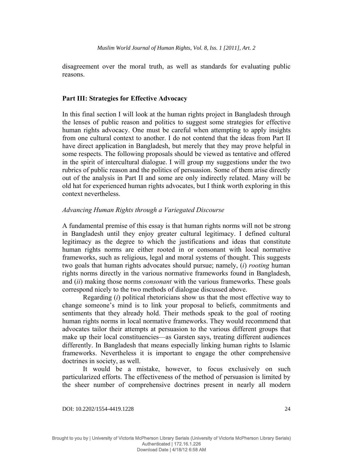disagreement over the moral truth, as well as standards for evaluating public reasons.

# **Part III: Strategies for Effective Advocacy**

In this final section I will look at the human rights project in Bangladesh through the lenses of public reason and politics to suggest some strategies for effective human rights advocacy. One must be careful when attempting to apply insights from one cultural context to another. I do not contend that the ideas from Part II have direct application in Bangladesh, but merely that they may prove helpful in some respects. The following proposals should be viewed as tentative and offered in the spirit of intercultural dialogue. I will group my suggestions under the two rubrics of public reason and the politics of persuasion. Some of them arise directly out of the analysis in Part II and some are only indirectly related. Many will be old hat for experienced human rights advocates, but I think worth exploring in this context nevertheless.

#### *Advancing Human Rights through a Variegated Discourse*

A fundamental premise of this essay is that human rights norms will not be strong in Bangladesh until they enjoy greater cultural legitimacy. I defined cultural legitimacy as the degree to which the justifications and ideas that constitute human rights norms are either rooted in or consonant with local normative frameworks, such as religious, legal and moral systems of thought. This suggests two goals that human rights advocates should pursue; namely, (*i*) *rooting* human rights norms directly in the various normative frameworks found in Bangladesh, and (*ii*) making those norms *consonant* with the various frameworks. These goals correspond nicely to the two methods of dialogue discussed above.

Regarding (*i*) political rhetoricians show us that the most effective way to change someone's mind is to link your proposal to beliefs, commitments and sentiments that they already hold. Their methods speak to the goal of rooting human rights norms in local normative frameworks. They would recommend that advocates tailor their attempts at persuasion to the various different groups that make up their local constituencies—as Garsten says, treating different audiences differently. In Bangladesh that means especially linking human rights to Islamic frameworks. Nevertheless it is important to engage the other comprehensive doctrines in society, as well.

It would be a mistake, however, to focus exclusively on such particularized efforts. The effectiveness of the method of persuasion is limited by the sheer number of comprehensive doctrines present in nearly all modern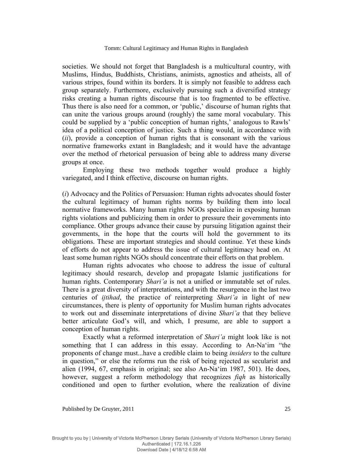societies. We should not forget that Bangladesh is a multicultural country, with Muslims, Hindus, Buddhists, Christians, animists, agnostics and atheists, all of various stripes, found within its borders. It is simply not feasible to address each group separately. Furthermore, exclusively pursuing such a diversified strategy risks creating a human rights discourse that is too fragmented to be effective. Thus there is also need for a common, or 'public,' discourse of human rights that can unite the various groups around (roughly) the same moral vocabulary. This could be supplied by a 'public conception of human rights,' analogous to Rawls' idea of a political conception of justice. Such a thing would, in accordance with (*ii*), provide a conception of human rights that is consonant with the various normative frameworks extant in Bangladesh; and it would have the advantage over the method of rhetorical persuasion of being able to address many diverse groups at once.

Employing these two methods together would produce a highly variegated, and I think effective, discourse on human rights.

(*i*) Advocacy and the Politics of Persuasion: Human rights advocates should foster the cultural legitimacy of human rights norms by building them into local normative frameworks. Many human rights NGOs specialize in exposing human rights violations and publicizing them in order to pressure their governments into compliance. Other groups advance their cause by pursuing litigation against their governments, in the hope that the courts will hold the government to its obligations. These are important strategies and should continue. Yet these kinds of efforts do not appear to address the issue of cultural legitimacy head on. At least some human rights NGOs should concentrate their efforts on that problem.

Human rights advocates who choose to address the issue of cultural legitimacy should research, develop and propagate Islamic justifications for human rights. Contemporary *Shari'a* is not a unified or immutable set of rules. There is a great diversity of interpretations, and with the resurgence in the last two centuries of *ijtihad*, the practice of reinterpreting *Shari'a* in light of new circumstances, there is plenty of opportunity for Muslim human rights advocates to work out and disseminate interpretations of divine *Shari'a* that they believe better articulate God's will, and which, I presume, are able to support a conception of human rights.

 Exactly what a reformed interpretation of *Shari'a* might look like is not something that I can address in this essay. According to An-Na'im "the proponents of change must...have a credible claim to being *insiders* to the culture in question," or else the reforms run the risk of being rejected as secularist and alien (1994, 67, emphasis in original; see also An-Na'im 1987, 501). He does, however, suggest a reform methodology that recognizes *fiqh* as historically conditioned and open to further evolution, where the realization of divine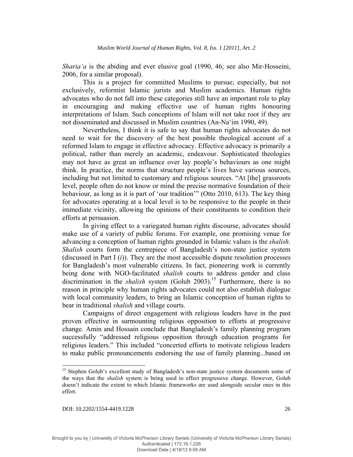*Sharia'a* is the abiding and ever elusive goal (1990, 46; see also Mir-Hosseini, 2006, for a similar proposal).

This is a project for committed Muslims to pursue; especially, but not exclusively, reformist Islamic jurists and Muslim academics. Human rights advocates who do not fall into these categories still have an important role to play in encouraging and making effective use of human rights honouring interpretations of Islam. Such conceptions of Islam will not take root if they are not disseminated and discussed in Muslim countries (An-Na'im 1990, 49).

Nevertheless, I think it is safe to say that human rights advocates do not need to wait for the discovery of the best possible theological account of a reformed Islam to engage in effective advocacy. Effective advocacy is primarily a political, rather than merely an academic, endeavour. Sophisticated theologies may not have as great an influence over lay people's behaviours as one might think. In practice, the norms that structure people's lives have various sources, including but not limited to customary and religious sources. "At [the] grassroots level, people often do not know or mind the precise normative foundation of their behaviour, as long as it is part of 'our tradition'" (Otto 2010, 613). The key thing for advocates operating at a local level is to be responsive to the people in their immediate vicinity, allowing the opinions of their constituents to condition their efforts at persuasion.

In giving effect to a variegated human rights discourse, advocates should make use of a variety of public forums. For example, one promising venue for advancing a conception of human rights grounded in Islamic values is the *shalish*. *Shalish* courts form the centrepiece of Bangladesh's non-state justice system (discussed in Part I (*i*)). They are the most accessible dispute resolution processes for Bangladesh's most vulnerable citizens. In fact, pioneering work is currently being done with NGO-facilitated *shalish* courts to address gender and class discrimination in the *shalish* system (Golub 2003).<sup>15</sup> Furthermore, there is no reason in principle why human rights advocates could not also establish dialogue with local community leaders, to bring an Islamic conception of human rights to bear in traditional *shalish* and village courts.

Campaigns of direct engagement with religious leaders have in the past proven effective in surmounting religious opposition to efforts at progressive change. Amin and Hossain conclude that Bangladesh's family planning program successfully "addressed religious opposition through education programs for religious leaders." This included "concerted efforts to motivate religious leaders to make public pronouncements endorsing the use of family planning...based on

DOI: 10.2202/1554-4419.1228

 $\overline{a}$ 

<sup>&</sup>lt;sup>15</sup> Stephen Golub's excellent study of Bangladesh's non-state justice system documents some of the ways that the *shalish* system is being used to effect progressive change. However, Golub doesn't indicate the extent to which Islamic frameworks are used alongside secular ones in this effort.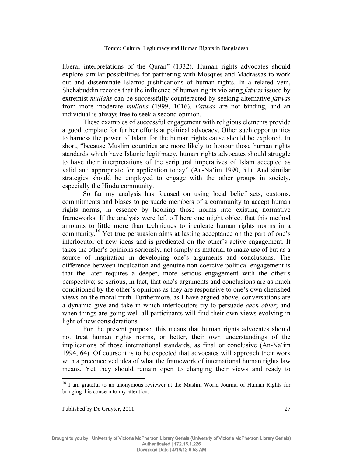liberal interpretations of the Quran" (1332). Human rights advocates should explore similar possibilities for partnering with Mosques and Madrassas to work out and disseminate Islamic justifications of human rights. In a related vein, Shehabuddin records that the influence of human rights violating *fatwas* issued by extremist *mullahs* can be successfully counteracted by seeking alternative *fatwas* from more moderate *mullahs* (1999, 1016). *Fatwas* are not binding, and an individual is always free to seek a second opinion.

 These examples of successful engagement with religious elements provide a good template for further efforts at political advocacy. Other such opportunities to harness the power of Islam for the human rights cause should be explored. In short, "because Muslim countries are more likely to honour those human rights standards which have Islamic legitimacy, human rights advocates should struggle to have their interpretations of the scriptural imperatives of Islam accepted as valid and appropriate for application today" (An-Na'im 1990, 51). And similar strategies should be employed to engage with the other groups in society, especially the Hindu community.

 So far my analysis has focused on using local belief sets, customs, commitments and biases to persuade members of a community to accept human rights norms, in essence by hooking those norms into existing normative frameworks. If the analysis were left off here one might object that this method amounts to little more than techniques to inculcate human rights norms in a community.<sup>16</sup> Yet true persuasion aims at lasting acceptance on the part of one's interlocutor of new ideas and is predicated on the other's active engagement. It takes the other's opinions seriously, not simply as material to make use of but as a source of inspiration in developing one's arguments and conclusions. The difference between inculcation and genuine non-coercive political engagement is that the later requires a deeper, more serious engagement with the other's perspective; so serious, in fact, that one's arguments and conclusions are as much conditioned by the other's opinions as they are responsive to one's own cherished views on the moral truth. Furthermore, as I have argued above, conversations are a dynamic give and take in which interlocutors try to persuade *each other*; and when things are going well all participants will find their own views evolving in light of new considerations.

 For the present purpose, this means that human rights advocates should not treat human rights norms, or better, their own understandings of the implications of those international standards, as final or conclusive (An-Na'im 1994, 64). Of course it is to be expected that advocates will approach their work with a preconceived idea of what the framework of international human rights law means. Yet they should remain open to changing their views and ready to

Published by De Gruyter, 2011

<sup>&</sup>lt;sup>16</sup> I am grateful to an anonymous reviewer at the Muslim World Journal of Human Rights for bringing this concern to my attention.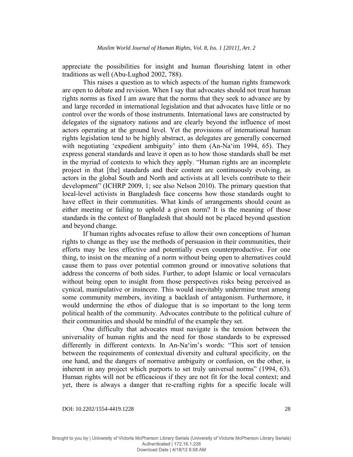appreciate the possibilities for insight and human flourishing latent in other traditions as well (Abu-Lughod 2002, 788).

This raises a question as to which aspects of the human rights framework are open to debate and revision. When I say that advocates should not treat human rights norms as fixed I am aware that the norms that they seek to advance are by and large recorded in international legislation and that advocates have little or no control over the words of those instruments. International laws are constructed by delegates of the signatory nations and are clearly beyond the influence of most actors operating at the ground level. Yet the provisions of international human rights legislation tend to be highly abstract, as delegates are generally concerned with negotiating 'expedient ambiguity' into them (An-Na'im 1994, 65). They express general standards and leave it open as to how those standards shall be met in the myriad of contexts to which they apply. "Human rights are an incomplete project in that [the] standards and their content are continuously evolving, as actors in the global South and North and activists at all levels contribute to their development" (ICHRP 2009, 1; see also Nelson 2010). The primary question that local-level activists in Bangladesh face concerns how those standards ought to have effect in their communities. What kinds of arrangements should count as either meeting or failing to uphold a given norm? It is the meaning of those standards in the context of Bangladesh that should not be placed beyond question and beyond change.

If human rights advocates refuse to allow their own conceptions of human rights to change as they use the methods of persuasion in their communities, their efforts may be less effective and potentially even counterproductive. For one thing, to insist on the meaning of a norm without being open to alternatives could cause them to pass over potential common ground or innovative solutions that address the concerns of both sides. Further, to adopt Islamic or local vernaculars without being open to insight from those perspectives risks being perceived as cynical, manipulative or insincere. This would inevitably undermine trust among some community members, inviting a backlash of antagonism. Furthermore, it would undermine the ethos of dialogue that is so important to the long term political health of the community. Advocates contribute to the political culture of their communities and should be mindful of the example they set.

One difficulty that advocates must navigate is the tension between the universality of human rights and the need for those standards to be expressed differently in different contexts. In An-Na'im's words: "This sort of tension between the requirements of contextual diversity and cultural specificity, on the one hand, and the dangers of normative ambiguity or confusion, on the other, is inherent in any project which purports to set truly universal norms" (1994, 63). Human rights will not be efficacious if they are not fit for the local context; and yet, there is always a danger that re-crafting rights for a specific locale will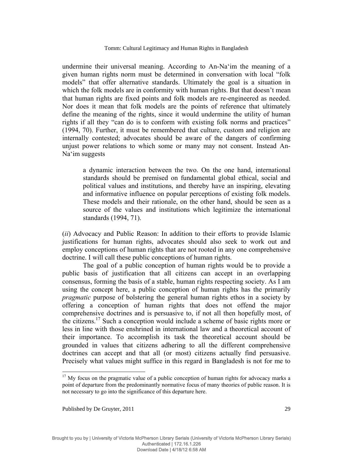undermine their universal meaning. According to An-Na'im the meaning of a given human rights norm must be determined in conversation with local "folk models" that offer alternative standards. Ultimately the goal is a situation in which the folk models are in conformity with human rights. But that doesn't mean that human rights are fixed points and folk models are re-engineered as needed. Nor does it mean that folk models are the points of reference that ultimately define the meaning of the rights, since it would undermine the utility of human rights if all they "can do is to conform with existing folk norms and practices" (1994, 70). Further, it must be remembered that culture, custom and religion are internally contested; advocates should be aware of the dangers of confirming unjust power relations to which some or many may not consent. Instead An-Na'im suggests

a dynamic interaction between the two. On the one hand, international standards should be premised on fundamental global ethical, social and political values and institutions, and thereby have an inspiring, elevating and informative influence on popular perceptions of existing folk models. These models and their rationale, on the other hand, should be seen as a source of the values and institutions which legitimize the international standards (1994, 71).

(*ii*) Advocacy and Public Reason: In addition to their efforts to provide Islamic justifications for human rights, advocates should also seek to work out and employ conceptions of human rights that are not rooted in any one comprehensive doctrine. I will call these public conceptions of human rights.

 The goal of a public conception of human rights would be to provide a public basis of justification that all citizens can accept in an overlapping consensus, forming the basis of a stable, human rights respecting society. As I am using the concept here, a public conception of human rights has the primarily *pragmatic* purpose of bolstering the general human rights ethos in a society by offering a conception of human rights that does not offend the major comprehensive doctrines and is persuasive to, if not all then hopefully most, of the citizens.17 Such a conception would include a scheme of basic rights more or less in line with those enshrined in international law and a theoretical account of their importance. To accomplish its task the theoretical account should be grounded in values that citizens adhering to all the different comprehensive doctrines can accept and that all (or most) citizens actually find persuasive. Precisely what values might suffice in this regard in Bangladesh is not for me to

 $17$  My focus on the pragmatic value of a public conception of human rights for advocacy marks a point of departure from the predominantly normative focus of many theories of public reason. It is not necessary to go into the significance of this departure here.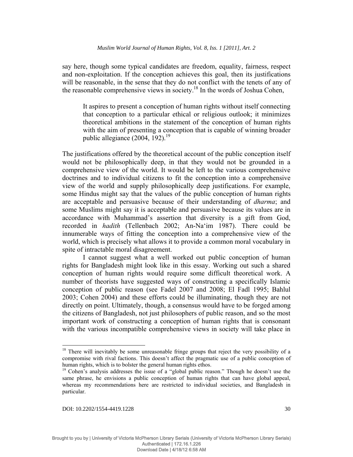say here, though some typical candidates are freedom, equality, fairness, respect and non-exploitation. If the conception achieves this goal, then its justifications will be reasonable, in the sense that they do not conflict with the tenets of any of the reasonable comprehensive views in society.18 In the words of Joshua Cohen,

It aspires to present a conception of human rights without itself connecting that conception to a particular ethical or religious outlook; it minimizes theoretical ambitions in the statement of the conception of human rights with the aim of presenting a conception that is capable of winning broader public allegiance  $(2004, 192)$ .<sup>19</sup>

The justifications offered by the theoretical account of the public conception itself would not be philosophically deep, in that they would not be grounded in a comprehensive view of the world. It would be left to the various comprehensive doctrines and to individual citizens to fit the conception into a comprehensive view of the world and supply philosophically deep justifications. For example, some Hindus might say that the values of the public conception of human rights are acceptable and persuasive because of their understanding of *dharma*; and some Muslims might say it is acceptable and persuasive because its values are in accordance with Muhammad's assertion that diversity is a gift from God, recorded in *hadith* (Tellenbach 2002; An-Na'im 1987). There could be innumerable ways of fitting the conception into a comprehensive view of the world, which is precisely what allows it to provide a common moral vocabulary in spite of intractable moral disagreement.

I cannot suggest what a well worked out public conception of human rights for Bangladesh might look like in this essay. Working out such a shared conception of human rights would require some difficult theoretical work. A number of theorists have suggested ways of constructing a specifically Islamic conception of public reason (see Fadel 2007 and 2008; El Fadl 1995; Bahlul 2003; Cohen 2004) and these efforts could be illuminating, though they are not directly on point. Ultimately, though, a consensus would have to be forged among the citizens of Bangladesh, not just philosophers of public reason, and so the most important work of constructing a conception of human rights that is consonant with the various incompatible comprehensive views in society will take place in

DOI: 10.2202/1554-4419.1228

 $\overline{a}$ 

<sup>&</sup>lt;sup>18</sup> There will inevitably be some unreasonable fringe groups that reject the very possibility of a compromise with rival factions. This doesn't affect the pragmatic use of a public conception of human rights, which is to bolster the general human rights ethos.

<sup>&</sup>lt;sup>19</sup> Cohen's analysis addresses the issue of a "global public reason." Though he doesn't use the same phrase, he envisions a public conception of human rights that can have global appeal, whereas my recommendations here are restricted to individual societies, and Bangladesh in particular.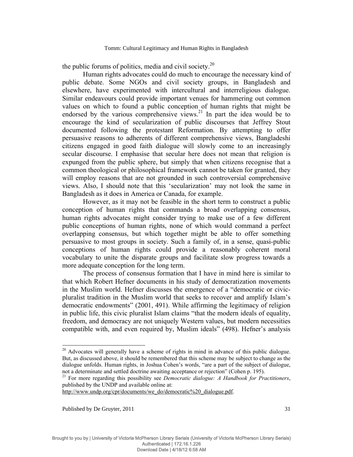the public forums of politics, media and civil society.<sup>20</sup>

Human rights advocates could do much to encourage the necessary kind of public debate. Some NGOs and civil society groups, in Bangladesh and elsewhere, have experimented with intercultural and interreligious dialogue. Similar endeavours could provide important venues for hammering out common values on which to found a public conception of human rights that might be endorsed by the various comprehensive views.<sup>21</sup> In part the idea would be to encourage the kind of secularization of public discourses that Jeffrey Stout documented following the protestant Reformation. By attempting to offer persuasive reasons to adherents of different comprehensive views, Bangladeshi citizens engaged in good faith dialogue will slowly come to an increasingly secular discourse. I emphasise that secular here does not mean that religion is expunged from the public sphere, but simply that when citizens recognise that a common theological or philosophical framework cannot be taken for granted, they will employ reasons that are not grounded in such controversial comprehensive views. Also, I should note that this 'secularization' may not look the same in Bangladesh as it does in America or Canada, for example.

However, as it may not be feasible in the short term to construct a public conception of human rights that commands a broad overlapping consensus, human rights advocates might consider trying to make use of a few different public conceptions of human rights, none of which would command a perfect overlapping consensus, but which together might be able to offer something persuasive to most groups in society. Such a family of, in a sense, quasi-public conceptions of human rights could provide a reasonably coherent moral vocabulary to unite the disparate groups and facilitate slow progress towards a more adequate conception for the long term.

The process of consensus formation that I have in mind here is similar to that which Robert Hefner documents in his study of democratization movements in the Muslim world. Hefner discusses the emergence of a "democratic or civicpluralist tradition in the Muslim world that seeks to recover and amplify Islam's democratic endowments" (2001, 491). While affirming the legitimacy of religion in public life, this civic pluralist Islam claims "that the modern ideals of equality, freedom, and democracy are not uniquely Western values, but modern necessities compatible with, and even required by, Muslim ideals" (498). Hefner's analysis

 $20$  Advocates will generally have a scheme of rights in mind in advance of this public dialogue. But, as discussed above, it should be remembered that this scheme may be subject to change as the dialogue unfolds. Human rights, in Joshua Cohen's words, "are a part of the subject of dialogue, not a determinate and settled doctrine awaiting acceptance or rejection" (Cohen p. 195).

<sup>&</sup>lt;sup>21</sup> For more regarding this possibility see *Democratic dialogue: A Handbook for Practitioners*, published by the UNDP and available online at:

http://www.undp.org/cpr/documents/we\_do/democratic%20\_dialogue.pdf.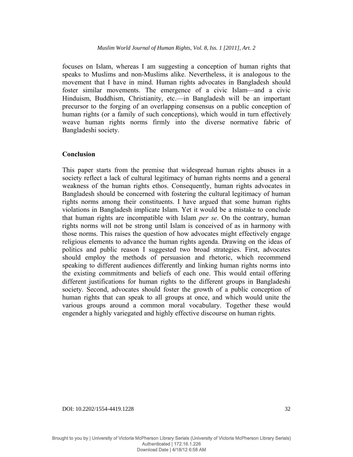focuses on Islam, whereas I am suggesting a conception of human rights that speaks to Muslims and non-Muslims alike. Nevertheless, it is analogous to the movement that I have in mind. Human rights advocates in Bangladesh should foster similar movements. The emergence of a civic Islam—and a civic Hinduism, Buddhism, Christianity, etc.—in Bangladesh will be an important precursor to the forging of an overlapping consensus on a public conception of human rights (or a family of such conceptions), which would in turn effectively weave human rights norms firmly into the diverse normative fabric of Bangladeshi society.

# **Conclusion**

This paper starts from the premise that widespread human rights abuses in a society reflect a lack of cultural legitimacy of human rights norms and a general weakness of the human rights ethos. Consequently, human rights advocates in Bangladesh should be concerned with fostering the cultural legitimacy of human rights norms among their constituents. I have argued that some human rights violations in Bangladesh implicate Islam. Yet it would be a mistake to conclude that human rights are incompatible with Islam *per se*. On the contrary, human rights norms will not be strong until Islam is conceived of as in harmony with those norms. This raises the question of how advocates might effectively engage religious elements to advance the human rights agenda. Drawing on the ideas of politics and public reason I suggested two broad strategies. First, advocates should employ the methods of persuasion and rhetoric, which recommend speaking to different audiences differently and linking human rights norms into the existing commitments and beliefs of each one. This would entail offering different justifications for human rights to the different groups in Bangladeshi society. Second, advocates should foster the growth of a public conception of human rights that can speak to all groups at once, and which would unite the various groups around a common moral vocabulary. Together these would engender a highly variegated and highly effective discourse on human rights.

DOI: 10.2202/1554-4419.1228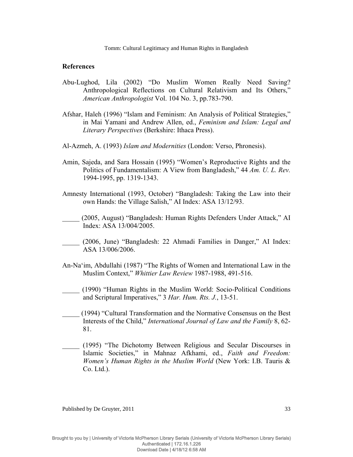Tomm: Cultural Legitimacy and Human Rights in Bangladesh

# **References**

- Abu-Lughod, Lila (2002) "Do Muslim Women Really Need Saving? Anthropological Reflections on Cultural Relativism and Its Others," *American Anthropologist* Vol. 104 No. 3, pp.783-790.
- Afshar, Haleh (1996) "Islam and Feminism: An Analysis of Political Strategies," in Mai Yamani and Andrew Allen, ed., *Feminism and Islam: Legal and Literary Perspectives* (Berkshire: Ithaca Press).
- Al-Azmeh, A. (1993) *Islam and Modernities* (London: Verso, Phronesis).
- Amin, Sajeda, and Sara Hossain (1995) "Women's Reproductive Rights and the Politics of Fundamentalism: A View from Bangladesh," 44 *Am. U. L. Rev.* 1994-1995, pp. 1319-1343.
- Amnesty International (1993, October) "Bangladesh: Taking the Law into their own Hands: the Village Salish," AI Index: ASA 13/12/93.
- \_\_\_\_\_ (2005, August) "Bangladesh: Human Rights Defenders Under Attack," AI Index: ASA 13/004/2005.
- \_\_\_\_\_ (2006, June) "Bangladesh: 22 Ahmadi Families in Danger," AI Index: ASA 13/006/2006.
- An-Na'im, Abdullahi (1987) "The Rights of Women and International Law in the Muslim Context," *Whittier Law Review* 1987-1988, 491-516.
- \_\_\_\_\_ (1990) "Human Rights in the Muslim World: Socio-Political Conditions and Scriptural Imperatives," 3 *Har. Hum. Rts. J.*, 13-51.
- \_\_\_\_\_ (1994) "Cultural Transformation and the Normative Consensus on the Best Interests of the Child," *International Journal of Law and the Family* 8, 62- 81.
- \_\_\_\_\_ (1995) "The Dichotomy Between Religious and Secular Discourses in Islamic Societies," in Mahnaz Afkhami, ed., *Faith and Freedom: Women's Human Rights in the Muslim World* (New York: I.B. Tauris & Co. Ltd.).

Published by De Gruyter, 2011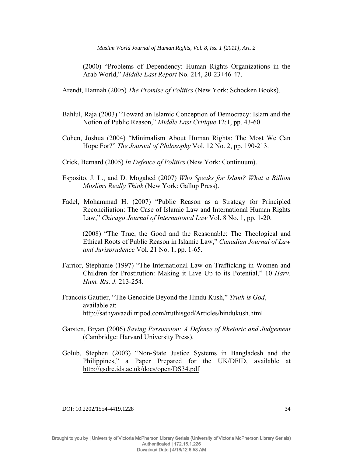*Muslim World Journal of Human Rights, Vol. 8, Iss. 1 [2011], Art. 2*

\_\_\_\_\_ (2000) "Problems of Dependency: Human Rights Organizations in the Arab World," *Middle East Report* No. 214, 20-23+46-47.

Arendt, Hannah (2005) *The Promise of Politics* (New York: Schocken Books).

- Bahlul, Raja (2003) "Toward an Islamic Conception of Democracy: Islam and the Notion of Public Reason," *Middle East Critique* 12:1, pp. 43-60.
- Cohen, Joshua (2004) "Minimalism About Human Rights: The Most We Can Hope For?" *The Journal of Philosophy* Vol. 12 No. 2, pp. 190-213.
- Crick, Bernard (2005) *In Defence of Politics* (New York: Continuum).
- Esposito, J. L., and D. Mogahed (2007) *Who Speaks for Islam? What a Billion Muslims Really Think* (New York: Gallup Press).
- Fadel, Mohammad H. (2007) "Public Reason as a Strategy for Principled Reconciliation: The Case of Islamic Law and International Human Rights Law," *Chicago Journal of International Law* Vol. 8 No. 1, pp. 1-20.
- \_\_\_\_\_ (2008) "The True, the Good and the Reasonable: The Theological and Ethical Roots of Public Reason in Islamic Law," *Canadian Journal of Law and Jurisprudence* Vol. 21 No. 1, pp. 1-65.
- Farrior, Stephanie (1997) "The International Law on Trafficking in Women and Children for Prostitution: Making it Live Up to its Potential," 10 *Harv. Hum. Rts. J.* 213-254.
- Francois Gautier, "The Genocide Beyond the Hindu Kush," *Truth is God*, available at: http://sathyavaadi.tripod.com/truthisgod/Articles/hindukush.html
- Garsten, Bryan (2006) *Saving Persuasion: A Defense of Rhetoric and Judgement* (Cambridge: Harvard University Press).
- Golub, Stephen (2003) "Non-State Justice Systems in Bangladesh and the Philippines," a Paper Prepared for the UK/DFID, available at http://gsdrc.ids.ac.uk/docs/open/DS34.pdf

DOI: 10.2202/1554-4419.1228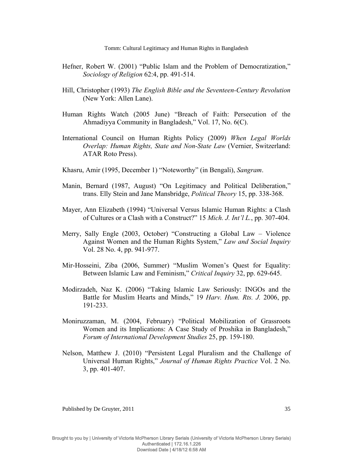Tomm: Cultural Legitimacy and Human Rights in Bangladesh

- Hefner, Robert W. (2001) "Public Islam and the Problem of Democratization," *Sociology of Religion* 62:4, pp. 491-514.
- Hill, Christopher (1993) *The English Bible and the Seventeen-Century Revolution* (New York: Allen Lane).
- Human Rights Watch (2005 June) "Breach of Faith: Persecution of the Ahmadiyya Community in Bangladesh," Vol. 17, No. 6(C).
- International Council on Human Rights Policy (2009) *When Legal Worlds Overlap: Human Rights, State and Non-State Law* (Vernier, Switzerland: ATAR Roto Press).
- Khasru, Amir (1995, December 1) "Noteworthy" (in Bengali), *Sangram*.
- Manin, Bernard (1987, August) "On Legitimacy and Political Deliberation," trans. Elly Stein and Jane Mansbridge, *Political Theory* 15, pp. 338-368.
- Mayer, Ann Elizabeth (1994) "Universal Versus Islamic Human Rights: a Clash of Cultures or a Clash with a Construct?" 15 *Mich. J. Int'l L.*, pp. 307-404.
- Merry, Sally Engle (2003, October) "Constructing a Global Law Violence Against Women and the Human Rights System," *Law and Social Inquiry* Vol. 28 No. 4, pp. 941-977.
- Mir-Hosseini, Ziba (2006, Summer) "Muslim Women's Quest for Equality: Between Islamic Law and Feminism," *Critical Inquiry* 32, pp. 629-645.
- Modirzadeh, Naz K. (2006) "Taking Islamic Law Seriously: INGOs and the Battle for Muslim Hearts and Minds," 19 *Harv. Hum. Rts. J.* 2006, pp. 191-233.
- Moniruzzaman, M. (2004, February) "Political Mobilization of Grassroots Women and its Implications: A Case Study of Proshika in Bangladesh," *Forum of International Development Studies* 25, pp. 159-180.
- Nelson, Matthew J. (2010) "Persistent Legal Pluralism and the Challenge of Universal Human Rights," *Journal of Human Rights Practice* Vol. 2 No. 3, pp. 401-407.

Published by De Gruyter, 2011